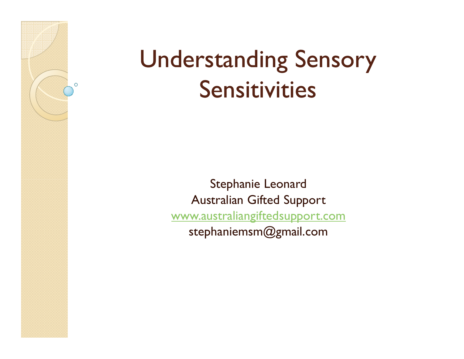#### Understanding Sensory Sensitivities

 $\circ$ 

Stephanie Leonard Australian Gifted Supportwww.australiangiftedsupport.comstephaniemsm@gmail.com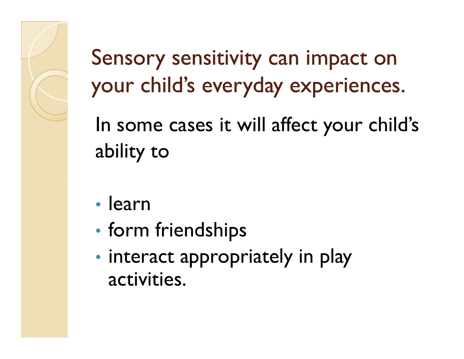Sensory sensitivity can impact on your child's everyday experiences.

In some cases it will affect your child'sability to

- •• learn
- •• form friendships
- •• interact appropriately in play activities.

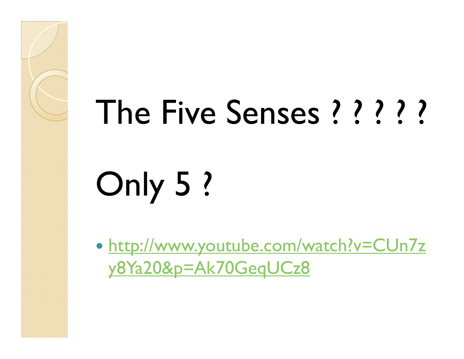# The Five Senses ? ? ? ? ? Only 5?

 $\bullet$  http://www.youtube.com/watch?v=CUn7z y8Ya20&p=Ak70GeqUCz8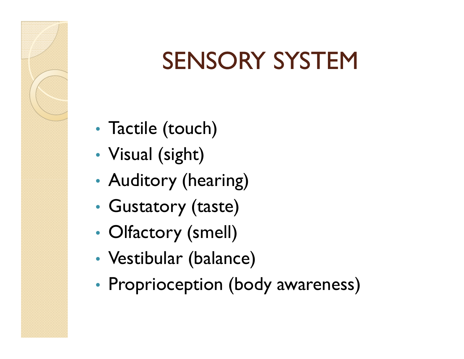#### SENSORY SYSTEM

- •Tactile (touch)
- •Visual (sight)
- •Auditory (hearing)
- •Gustatory (taste)
- •Olfactory (smell)
- •Vestibular (balance)
- •Proprioception (body awareness)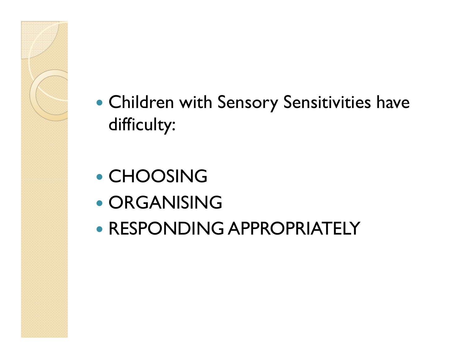

- $\bullet$ • CHOOSING
- $\bullet$  ORGANISI • ORGANISING
- $\bullet$  RESPONDIN • RESPONDING APPROPRIATELY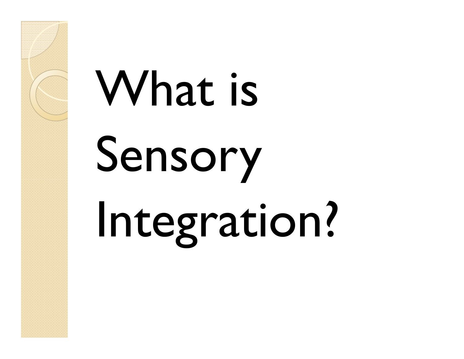

# What is SensoryIntegration?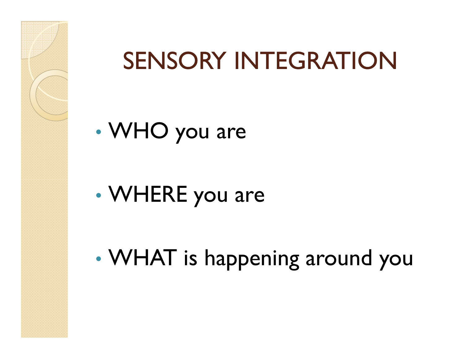#### SENSORY INTEGRATION

•WHO you are

•WHERE you are

•WHAT is happening around you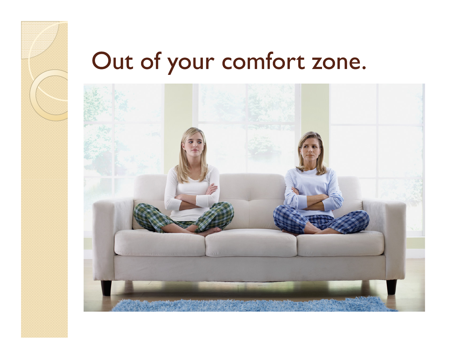

#### Out of your comfort zone.

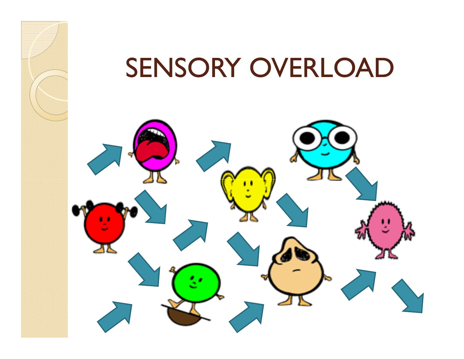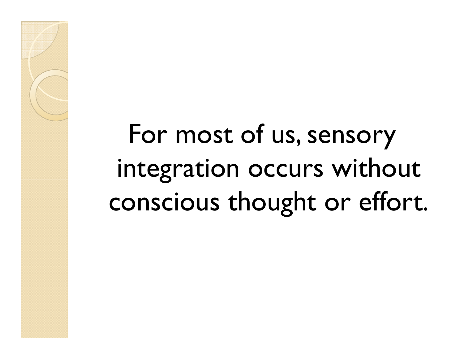For most of us, sensory integration occurs without conscious thought or effort.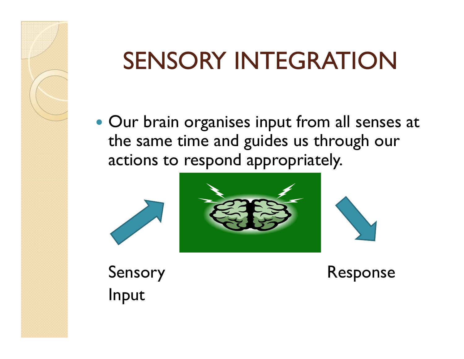#### SENSORY INTEGRATION

• Our brain organises input from all senses at the same time and guides us through our actions to respond appropriately.







Input

Sensory Response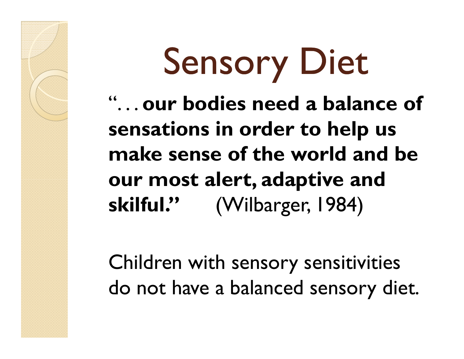### Sensory Diet

". . . our bodies need a balance of sensations in order to help us make sense of the world and be our most alert, adaptive and skilful." (Wilbarger, 1984)

Children with sensory sensitivities do not have a balanced sensory diet.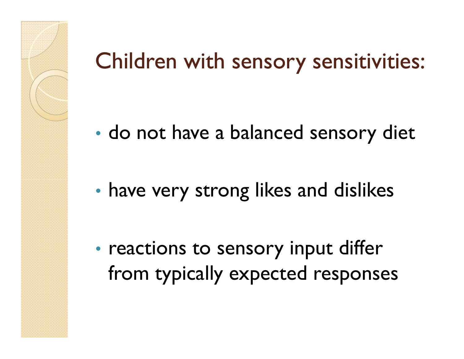#### Children with sensory sensitivities:

- •do not have a balanced sensory diet
- •have very strong likes and dislikes
- •• reactions to sensory input differ from typically expected responses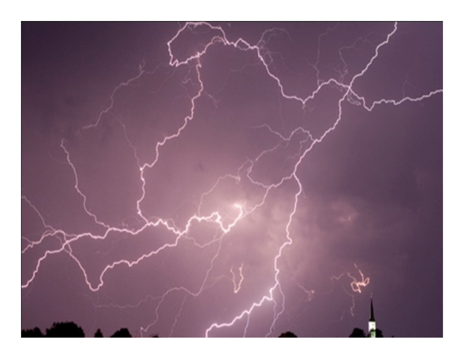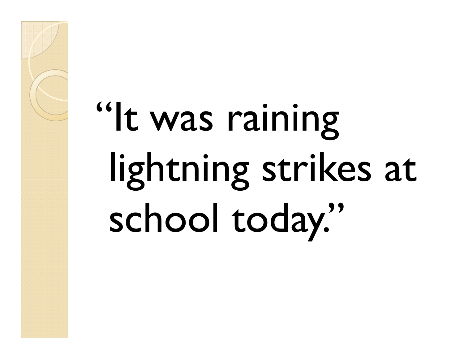### "It was raining lightning strikes at school today."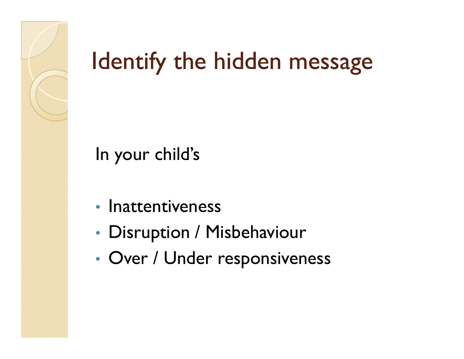#### Identify the hidden message

In your child's

- •• Inattentiveness
- •Disruption / Misbehaviour
- •Over / Under responsiveness

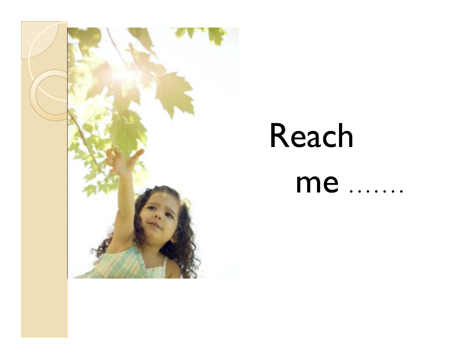

### Reach

me .......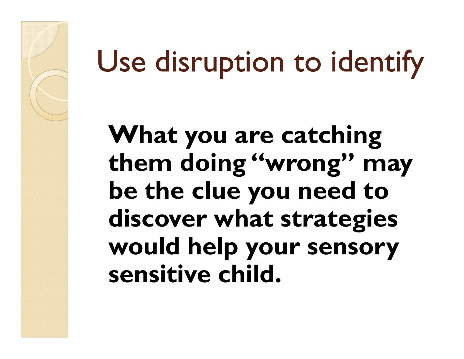### Use disruption to identify

What you are catching them doing "wrong" may be the clue you need to discover what strategies would help your sensory sensitive child.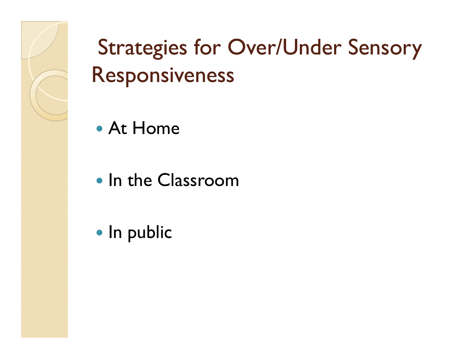

#### Strategies for Over/Under Sensory Responsiveness

At Home

• In the Classroom

• In public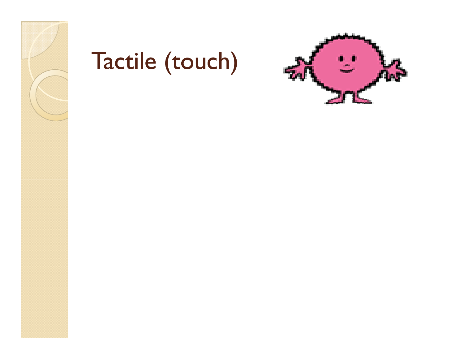



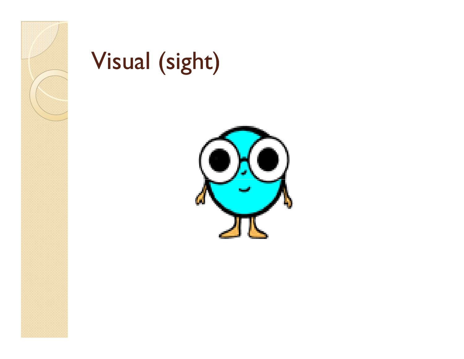

#### Visual (sight)

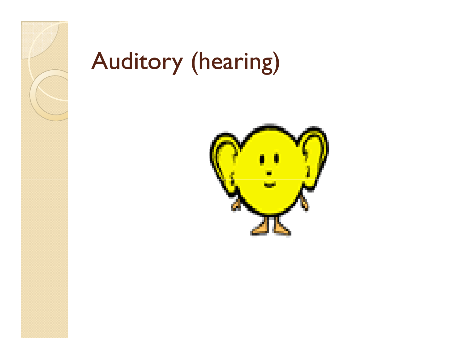

#### Auditory (hearing)

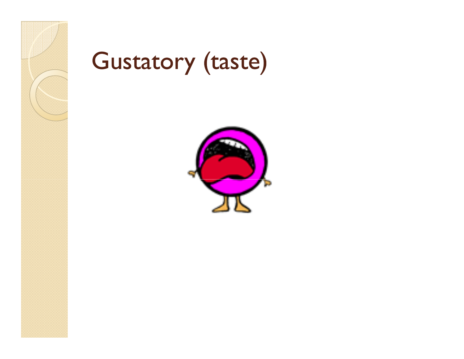

#### Gustatory (taste)

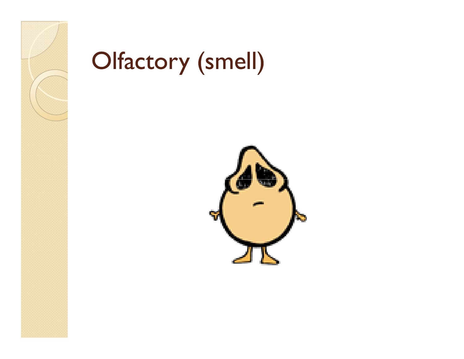

#### Olfactory (smell)

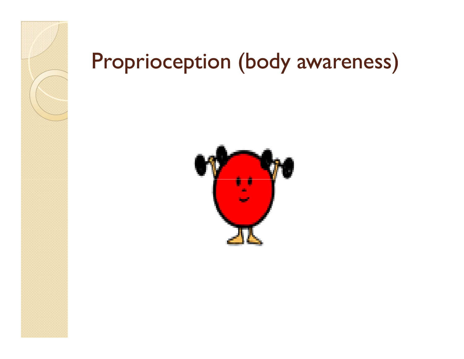

### Proprioception (body awareness)

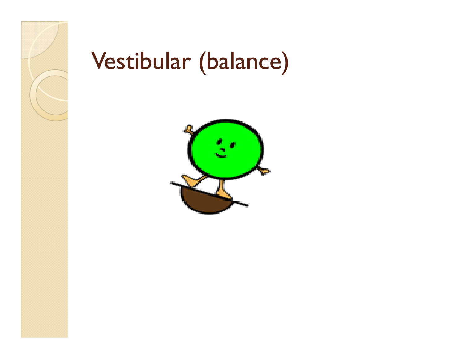

#### Vestibular (balance)

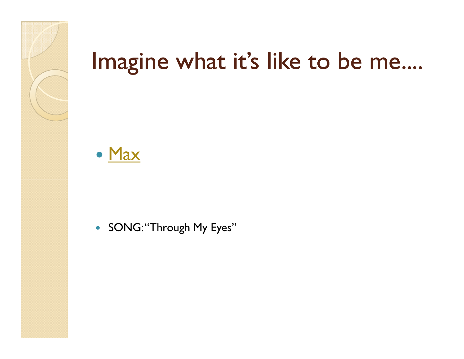

#### Imagine what it's like to be me....

• Max

• SONG: "Through My Eyes"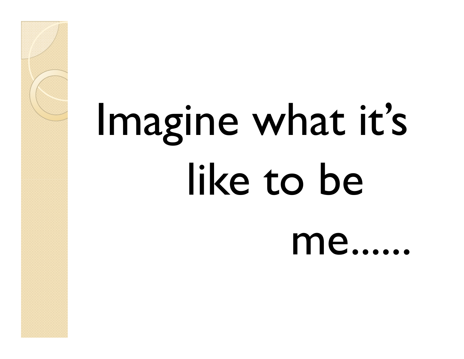# Imagine what it'slike to be me......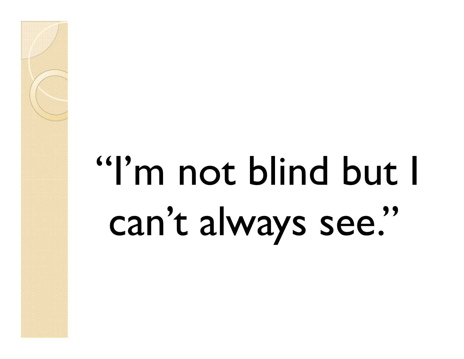## "I'm not blind but I can't always see."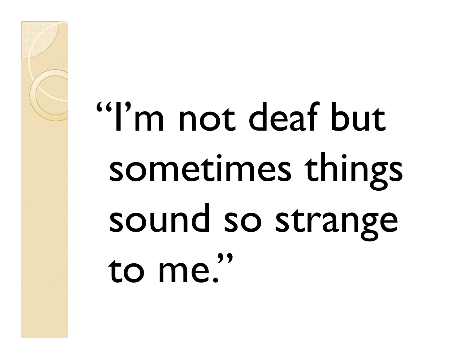## "I'm not deaf but sometimes things sound so strange to me."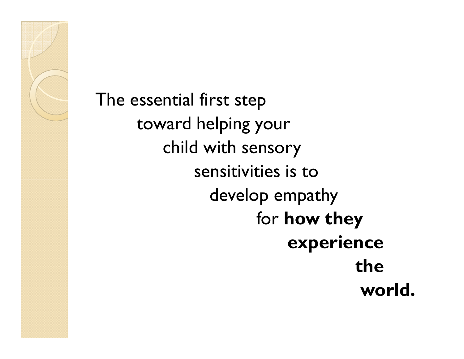

The essential first step toward helping your child with sensory sensitivities is to develop empathyfor how they experience the world.